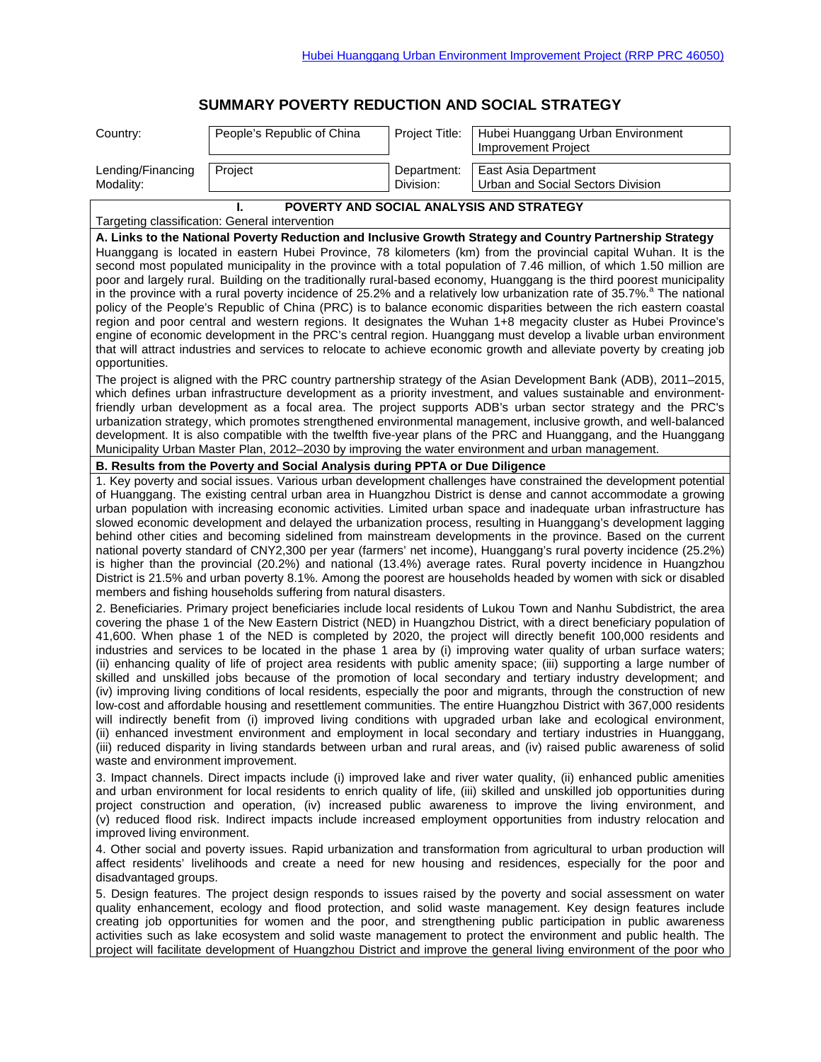## **SUMMARY POVERTY REDUCTION AND SOCIAL STRATEGY**

| Country:                                                                                                                                                                                                                                                                                                                                                                                                                                                                                                                                                                                                                                                                                                                                                                                                                                                                                                                                                                                                                                                                                                                                                                                                                                                                                                                                                                                                                                                                                                          | People's Republic of China | Project Title:           | Hubei Huanggang Urban Environment<br>Improvement Project  |
|-------------------------------------------------------------------------------------------------------------------------------------------------------------------------------------------------------------------------------------------------------------------------------------------------------------------------------------------------------------------------------------------------------------------------------------------------------------------------------------------------------------------------------------------------------------------------------------------------------------------------------------------------------------------------------------------------------------------------------------------------------------------------------------------------------------------------------------------------------------------------------------------------------------------------------------------------------------------------------------------------------------------------------------------------------------------------------------------------------------------------------------------------------------------------------------------------------------------------------------------------------------------------------------------------------------------------------------------------------------------------------------------------------------------------------------------------------------------------------------------------------------------|----------------------------|--------------------------|-----------------------------------------------------------|
| Lending/Financing<br>Modality:                                                                                                                                                                                                                                                                                                                                                                                                                                                                                                                                                                                                                                                                                                                                                                                                                                                                                                                                                                                                                                                                                                                                                                                                                                                                                                                                                                                                                                                                                    | Project                    | Department:<br>Division: | East Asia Department<br>Urban and Social Sectors Division |
| POVERTY AND SOCIAL ANALYSIS AND STRATEGY<br>Targeting classification: General intervention                                                                                                                                                                                                                                                                                                                                                                                                                                                                                                                                                                                                                                                                                                                                                                                                                                                                                                                                                                                                                                                                                                                                                                                                                                                                                                                                                                                                                        |                            |                          |                                                           |
| A. Links to the National Poverty Reduction and Inclusive Growth Strategy and Country Partnership Strategy<br>Huanggang is located in eastern Hubei Province, 78 kilometers (km) from the provincial capital Wuhan. It is the<br>second most populated municipality in the province with a total population of 7.46 million, of which 1.50 million are<br>poor and largely rural. Building on the traditionally rural-based economy, Huanggang is the third poorest municipality<br>in the province with a rural poverty incidence of 25.2% and a relatively low urbanization rate of 35.7%. <sup>8</sup> The national<br>policy of the People's Republic of China (PRC) is to balance economic disparities between the rich eastern coastal<br>region and poor central and western regions. It designates the Wuhan 1+8 megacity cluster as Hubei Province's<br>engine of economic development in the PRC's central region. Huanggang must develop a livable urban environment<br>that will attract industries and services to relocate to achieve economic growth and alleviate poverty by creating job<br>opportunities.                                                                                                                                                                                                                                                                                                                                                                                        |                            |                          |                                                           |
| The project is aligned with the PRC country partnership strategy of the Asian Development Bank (ADB), 2011–2015,<br>which defines urban infrastructure development as a priority investment, and values sustainable and environment-<br>friendly urban development as a focal area. The project supports ADB's urban sector strategy and the PRC's<br>urbanization strategy, which promotes strengthened environmental management, inclusive growth, and well-balanced<br>development. It is also compatible with the twelfth five-year plans of the PRC and Huanggang, and the Huanggang<br>Municipality Urban Master Plan, 2012–2030 by improving the water environment and urban management.                                                                                                                                                                                                                                                                                                                                                                                                                                                                                                                                                                                                                                                                                                                                                                                                                   |                            |                          |                                                           |
| B. Results from the Poverty and Social Analysis during PPTA or Due Diligence                                                                                                                                                                                                                                                                                                                                                                                                                                                                                                                                                                                                                                                                                                                                                                                                                                                                                                                                                                                                                                                                                                                                                                                                                                                                                                                                                                                                                                      |                            |                          |                                                           |
| 1. Key poverty and social issues. Various urban development challenges have constrained the development potential<br>of Huanggang. The existing central urban area in Huangzhou District is dense and cannot accommodate a growing<br>urban population with increasing economic activities. Limited urban space and inadequate urban infrastructure has<br>slowed economic development and delayed the urbanization process, resulting in Huanggang's development lagging<br>behind other cities and becoming sidelined from mainstream developments in the province. Based on the current<br>national poverty standard of CNY2,300 per year (farmers' net income), Huanggang's rural poverty incidence (25.2%)<br>is higher than the provincial (20.2%) and national (13.4%) average rates. Rural poverty incidence in Huangzhou<br>District is 21.5% and urban poverty 8.1%. Among the poorest are households headed by women with sick or disabled<br>members and fishing households suffering from natural disasters.<br>2. Beneficiaries. Primary project beneficiaries include local residents of Lukou Town and Nanhu Subdistrict, the area<br>covering the phase 1 of the New Eastern District (NED) in Huangzhou District, with a direct beneficiary population of<br>41,600. When phase 1 of the NED is completed by 2020, the project will directly benefit 100,000 residents and<br>industries and services to be located in the phase 1 area by (i) improving water quality of urban surface waters; |                            |                          |                                                           |
| (ii) enhancing quality of life of project area residents with public amenity space; (iii) supporting a large number of<br>skilled and unskilled jobs because of the promotion of local secondary and tertiary industry development; and<br>(iv) improving living conditions of local residents, especially the poor and migrants, through the construction of new<br>low-cost and affordable housing and resettlement communities. The entire Huangzhou District with 367,000 residents<br>will indirectly benefit from (i) improved living conditions with upgraded urban lake and ecological environment,<br>(ii) enhanced investment environment and employment in local secondary and tertiary industries in Huanggang,<br>(iii) reduced disparity in living standards between urban and rural areas, and (iv) raised public awareness of solid<br>waste and environment improvement.                                                                                                                                                                                                                                                                                                                                                                                                                                                                                                                                                                                                                         |                            |                          |                                                           |
| 3. Impact channels. Direct impacts include (i) improved lake and river water quality, (ii) enhanced public amenities<br>and urban environment for local residents to enrich quality of life, (iii) skilled and unskilled job opportunities during<br>project construction and operation, (iv) increased public awareness to improve the living environment, and<br>(v) reduced flood risk. Indirect impacts include increased employment opportunities from industry relocation and<br>improved living environment.                                                                                                                                                                                                                                                                                                                                                                                                                                                                                                                                                                                                                                                                                                                                                                                                                                                                                                                                                                                               |                            |                          |                                                           |
| 4. Other social and poverty issues. Rapid urbanization and transformation from agricultural to urban production will<br>affect residents' livelihoods and create a need for new housing and residences, especially for the poor and<br>disadvantaged groups.                                                                                                                                                                                                                                                                                                                                                                                                                                                                                                                                                                                                                                                                                                                                                                                                                                                                                                                                                                                                                                                                                                                                                                                                                                                      |                            |                          |                                                           |
| 5. Design features. The project design responds to issues raised by the poverty and social assessment on water<br>quality enhancement, ecology and flood protection, and solid waste management. Key design features include<br>creating job opportunities for women and the poor, and strengthening public participation in public awareness<br>activities such as lake ecosystem and solid waste management to protect the environment and public health. The<br>project will facilitate development of Huangzhou District and improve the general living environment of the poor who                                                                                                                                                                                                                                                                                                                                                                                                                                                                                                                                                                                                                                                                                                                                                                                                                                                                                                                           |                            |                          |                                                           |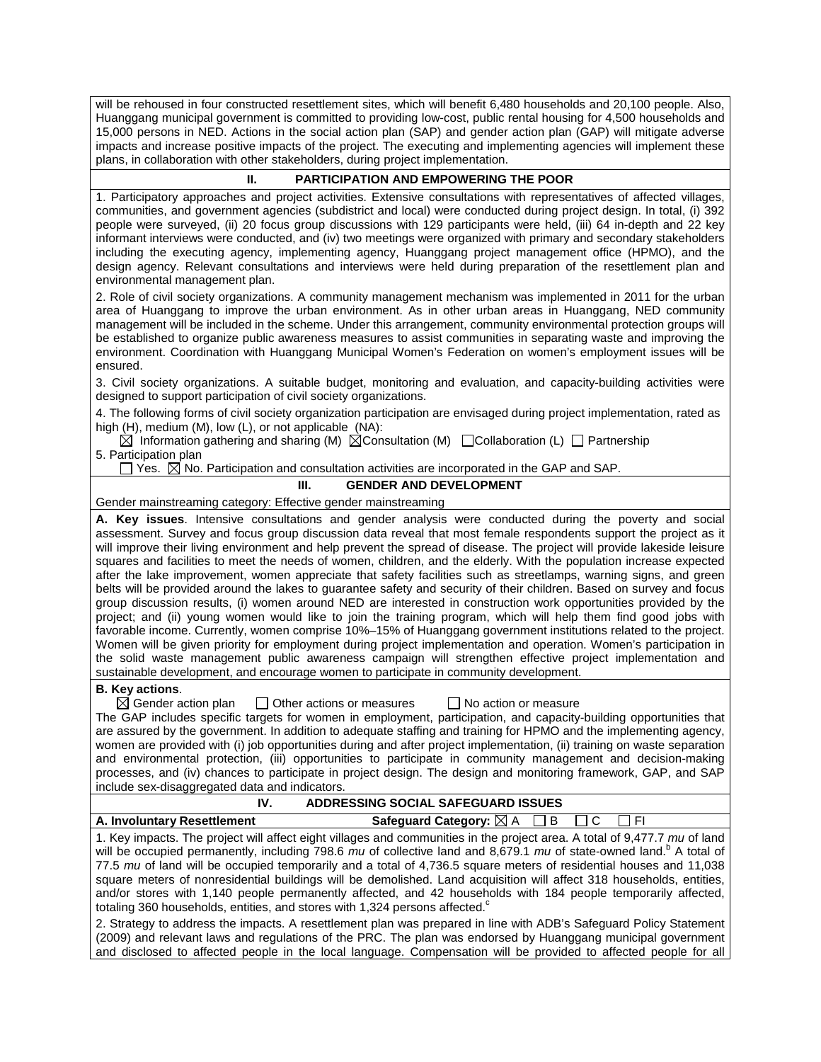will be rehoused in four constructed resettlement sites, which will benefit 6,480 households and 20,100 people. Also, Huanggang municipal government is committed to providing low-cost, public rental housing for 4,500 households and 15,000 persons in NED. Actions in the social action plan (SAP) and gender action plan (GAP) will mitigate adverse impacts and increase positive impacts of the project. The executing and implementing agencies will implement these plans, in collaboration with other stakeholders, during project implementation.

#### **II. PARTICIPATION AND EMPOWERING THE POOR**

1. Participatory approaches and project activities. Extensive consultations with representatives of affected villages, communities, and government agencies (subdistrict and local) were conducted during project design. In total, (i) 392 people were surveyed, (ii) 20 focus group discussions with 129 participants were held, (iii) 64 in-depth and 22 key informant interviews were conducted, and (iv) two meetings were organized with primary and secondary stakeholders including the executing agency, implementing agency, Huanggang project management office (HPMO), and the design agency. Relevant consultations and interviews were held during preparation of the resettlement plan and environmental management plan.

2. Role of civil society organizations. A community management mechanism was implemented in 2011 for the urban area of Huanggang to improve the urban environment. As in other urban areas in Huanggang, NED community management will be included in the scheme. Under this arrangement, community environmental protection groups will be established to organize public awareness measures to assist communities in separating waste and improving the environment. Coordination with Huanggang Municipal Women's Federation on women's employment issues will be ensured.

3. Civil society organizations. A suitable budget, monitoring and evaluation, and capacity-building activities were designed to support participation of civil society organizations.

4. The following forms of civil society organization participation are envisaged during project implementation, rated as high (H), medium (M), low (L), or not applicable (NA):

 $\boxtimes$  Information gathering and sharing (M)  $\boxtimes$ Consultation (M)  $\Box$ Collaboration (L)  $\Box$  Partnership 5. Participation plan

 $\Box$  Yes.  $\boxtimes$  No. Participation and consultation activities are incorporated in the GAP and SAP.

#### **III. GENDER AND DEVELOPMENT**

Gender mainstreaming category: Effective gender mainstreaming

**A. Key issues**. Intensive consultations and gender analysis were conducted during the poverty and social assessment. Survey and focus group discussion data reveal that most female respondents support the project as it will improve their living environment and help prevent the spread of disease. The project will provide lakeside leisure squares and facilities to meet the needs of women, children, and the elderly. With the population increase expected after the lake improvement, women appreciate that safety facilities such as streetlamps, warning signs, and green belts will be provided around the lakes to guarantee safety and security of their children. Based on survey and focus group discussion results, (i) women around NED are interested in construction work opportunities provided by the project; and (ii) young women would like to join the training program, which will help them find good jobs with favorable income. Currently, women comprise 10%–15% of Huanggang government institutions related to the project. Women will be given priority for employment during project implementation and operation. Women's participation in the solid waste management public awareness campaign will strengthen effective project implementation and sustainable development, and encourage women to participate in community development.

# **B. Key actions.**<br> **EX** Gender action plan

 $\Box$  Other actions or measures  $\Box$  No action or measure

The GAP includes specific targets for women in employment, participation, and capacity-building opportunities that are assured by the government. In addition to adequate staffing and training for HPMO and the implementing agency, women are provided with (i) job opportunities during and after project implementation, (ii) training on waste separation and environmental protection, (iii) opportunities to participate in community management and decision-making processes, and (iv) chances to participate in project design. The design and monitoring framework, GAP, and SAP include sex-disaggregated data and indicators.

### **IV. ADDRESSING SOCIAL SAFEGUARD ISSUES A. Involuntary Resettlement Safeguard Category:**  $\boxtimes$  A B C C FI

1. Key impacts. The project will affect eight villages and communities in the project area. A total of 9,477.7 *mu* of land will be occupied permanently, including 798.6 *mu* of collective land and 8,679.1 *mu* of state-owned land.<sup>b</sup> A total of 77.5 *mu* of land will be occupied temporarily and a total of 4,736.5 square meters of residential houses and 11,038 square meters of nonresidential buildings will be demolished. Land acquisition will affect 318 households, entities, and/or stores with 1,140 people permanently affected, and 42 households with 184 people temporarily affected, totaling 360 households, entities, and stores with 1,324 persons affected. $c$ 

2. Strategy to address the impacts. A resettlement plan was prepared in line with ADB's Safeguard Policy Statement (2009) and relevant laws and regulations of the PRC. The plan was endorsed by Huanggang municipal government and disclosed to affected people in the local language. Compensation will be provided to affected people for all